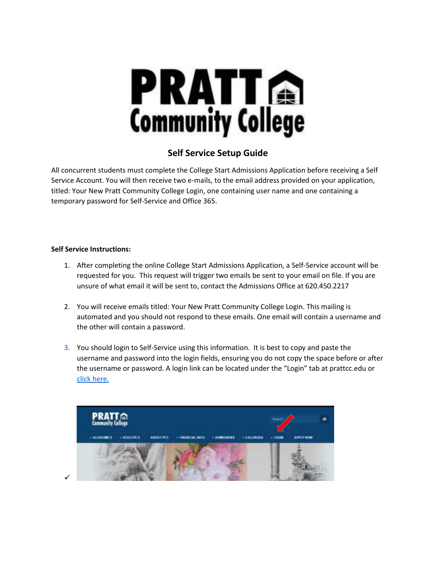

## **Self Service Setup Guide**

All concurrent students must complete the College Start Admissions Application before receiving a Self Service Account. You will then receive two e-mails, to the email address provided on your application, titled: Your New Pratt Community College Login, one containing user name and one containing a temporary password for Self-Service and Office 365.

## **Self Service Instructions:**

- 1. After completing the online College Start Admissions Application, a Self-Service account will be requested for you. This request will trigger two emails be sent to your email on file. If you are unsure of what email it will be sent to, contact the Admissions Office at 620.450.2217
- 2. You will receive emails titled: Your New Pratt Community College Login. This mailing is automated and you should not respond to these emails. One email will contain a username and the other will contain a password.
- 3. You should login to Self-Service using this information. It is best to copy and paste the username and password into the login fields, ensuring you do not copy the space before or after the username or password. A login link can be located under the "Login" tab at prattcc.edu or [click here.](https://selfservice.prattcc.edu/selfservice/Home.aspx)

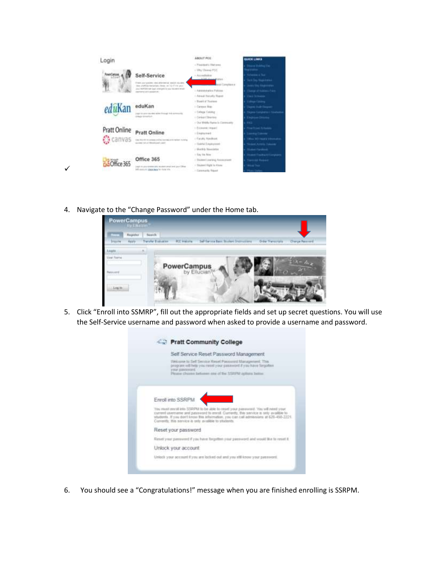

4. Navigate to the "Change Password" under the Home tab.

 $\checkmark$ 



5. Click "Enroll into SSMRP", fill out the appropriate fields and set up secret questions. You will use the Self-Service username and password when asked to provide a username and password.



6. You should see a "Congratulations!" message when you are finished enrolling is SSRPM.